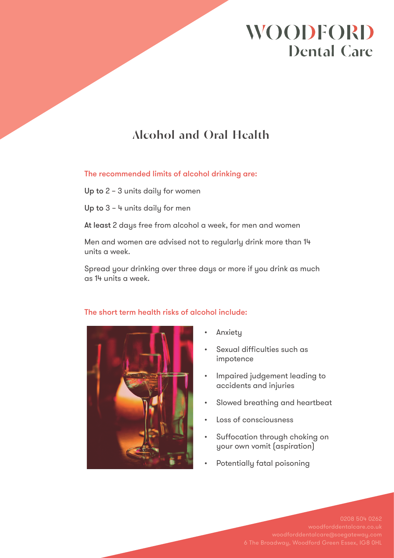# **WOODFORD Dental Care**

## **Alcohol and Oral Health**

The recommended limits of alcohol drinking are:

Up to 2 – 3 units daily for women

Up to 3 – 4 units daily for men

At least 2 days free from alcohol a week, for men and women

Men and women are advised not to regularly drink more than 14 units a week.

Spread your drinking over three days or more if you drink as much as 14 units a week.



### The short term health risks of alcohol include:

- **Anxiety**
- Sexual difficulties such as impotence
- Impaired judgement leading to accidents and injuries
- Slowed breathing and heartbeat
- Loss of consciousness
- Suffocation through choking on your own vomit (aspiration)
- Potentially fatal poisoning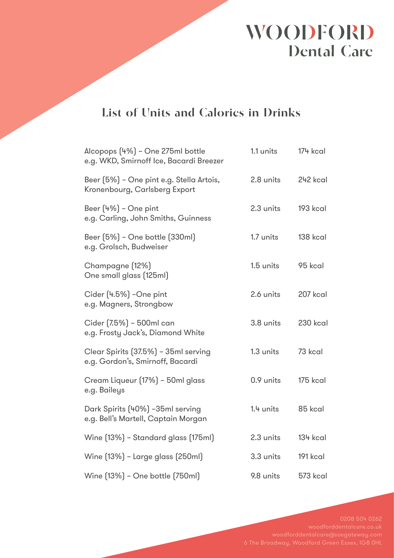# WOODFORD **Dental Care**

### **List of Units and Calories in Drinks**

| Alcopops (4%) - One 275ml bottle<br>e.g. WKD, Smirnoff Ice, Bacardi Breezer | 1.1 units | 174 kcal        |
|-----------------------------------------------------------------------------|-----------|-----------------|
| Beer (5%) - One pint e.g. Stella Artois,<br>Kronenbourg, Carlsberg Export   | 2.8 units | 242 kcal        |
| Beer $(4%)$ - One pint<br>e.g. Carling, John Smiths, Guinness               | 2.3 units | 193 kcal        |
| Beer (5%) - One bottle (330ml)<br>e.g. Grolsch, Budweiser                   | 1.7 units | 138 kcal        |
| Champagne (12%)<br>One small glass (125ml)                                  | 1.5 units | 95 kcal         |
| Cider (4.5%) -One pint<br>e.g. Magners, Strongbow                           | 2.6 units | 207 kcal        |
| Cider (7.5%) - 500ml can<br>e.g. Frosty Jack's, Diamond White               | 3.8 units | 230 kcal        |
| Clear Spirits (37.5%) - 35ml serving<br>e.g. Gordon's, Smirnoff, Bacardi    | 1.3 units | 73 kcal         |
| Cream Liqueur (17%) - 50ml glass<br>e.g. Baileys                            | 0.9 units | 175 kcal        |
| Dark Spirits (40%) -35ml serving<br>e.g. Bell's Martell, Captain Morgan     | 1.4 units | 85 kcal         |
| Wine [13%] - Standard glass [175ml]                                         | 2.3 units | <b>134 kcal</b> |
| Wine [13%] - Large glass [250ml]                                            | 3.3 units | 191 kcal        |
| Wine [13%] - One bottle [750ml]                                             | 9.8 units | 573 kcal        |